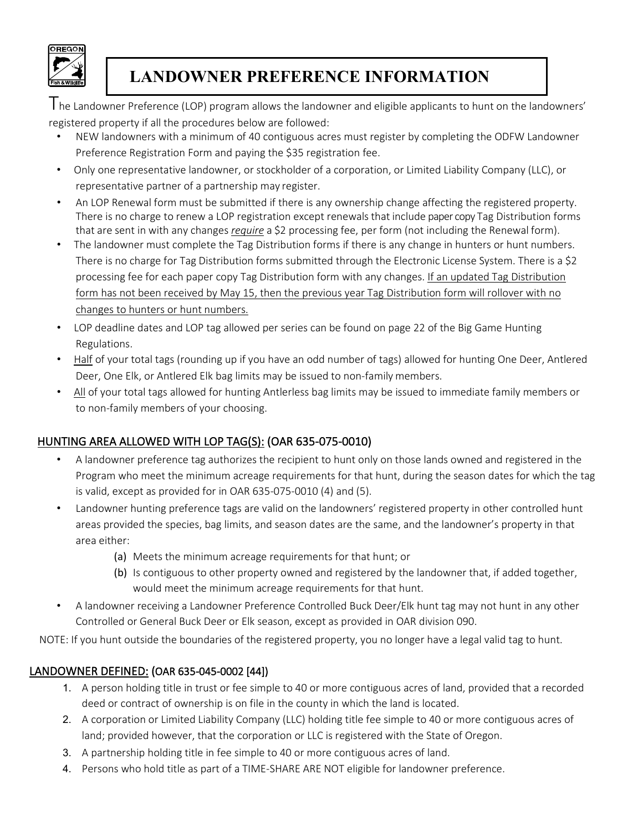

# **LANDOWNER PREFERENCE INFORMATION**

The Landowner Preference (LOP) program allows the landowner and eligible applicants to hunt on the landowners' registered property if all the procedures below are followed:

- NEW landowners with a minimum of 40 contiguous acres must register by completing the ODFW Landowner Preference Registration Form and paying the \$35 registration fee.
- Only one representative landowner, or stockholder of a corporation, or Limited Liability Company (LLC), or representative partner of a partnership may register.
- An LOP Renewal form must be submitted if there is any ownership change affecting the registered property. There is no charge to renew a LOP registration except renewals that include paper copy Tag Distribution forms that are sent in with any changes *require* a \$2 processing fee, per form (not including the Renewal form).
- The landowner must complete the Tag Distribution forms if there is any change in hunters or hunt numbers. There is no charge for Tag Distribution forms submitted through the Electronic License System. There is a \$2 processing fee for each paper copy Tag Distribution form with any changes. If an updated Tag Distribution form has not been received by May 15, then the previous year Tag Distribution form will rollover with no changes to hunters or hunt numbers.
- LOP deadline dates and LOP tag allowed per series can be found on page 22 of the Big Game Hunting Regulations.
- Half of your total tags (rounding up if you have an odd number of tags) allowed for hunting One Deer, Antlered Deer, One Elk, or Antlered Elk bag limits may be issued to non-family members.
- All of your total tags allowed for hunting Antlerless bag limits may be issued to immediate family members or to non-family members of your choosing.

# HUNTING AREA ALLOWED WITH LOP TAG(S): (OAR 635-075-0010)

- A landowner preference tag authorizes the recipient to hunt only on those lands owned and registered in the Program who meet the minimum acreage requirements for that hunt, during the season dates for which the tag is valid, except as provided for in OAR 635-075-0010 (4) and (5).
- Landowner hunting preference tags are valid on the landowners' registered property in other controlled hunt areas provided the species, bag limits, and season dates are the same, and the landowner's property in that area either:
	- (a) Meets the minimum acreage requirements for that hunt; or
	- (b) Is contiguous to other property owned and registered by the landowner that, if added together, would meet the minimum acreage requirements for that hunt.
- A landowner receiving a Landowner Preference Controlled Buck Deer/Elk hunt tag may not hunt in any other Controlled or General Buck Deer or Elk season, except as provided in OAR division 090.

NOTE: If you hunt outside the boundaries of the registered property, you no longer have a legal valid tag to hunt.

# LANDOWNER DEFINED: (OAR 635-045-0002 [44])

- 1. A person holding title in trust or fee simple to 40 or more contiguous acres of land, provided that a recorded deed or contract of ownership is on file in the county in which the land is located.
- 2. A corporation or Limited Liability Company (LLC) holding title fee simple to 40 or more contiguous acres of land; provided however, that the corporation or LLC is registered with the State of Oregon.
- 3. A partnership holding title in fee simple to 40 or more contiguous acres of land.
- 4. Persons who hold title as part of a TIME-SHARE ARE NOT eligible for landowner preference.